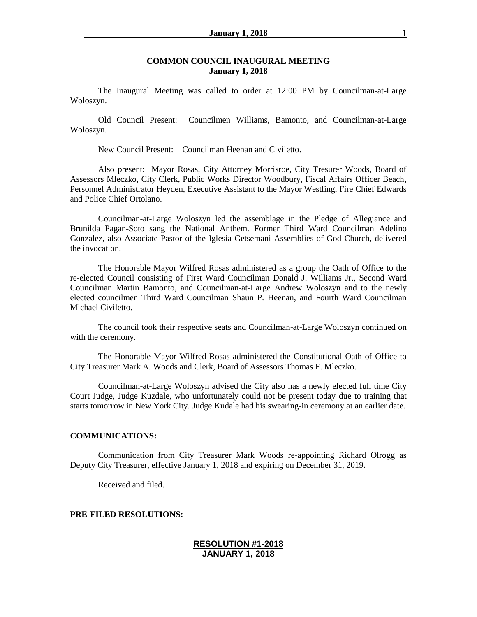#### **COMMON COUNCIL INAUGURAL MEETING January 1, 2018**

The Inaugural Meeting was called to order at 12:00 PM by Councilman-at-Large Woloszyn.

Old Council Present: Councilmen Williams, Bamonto, and Councilman-at-Large Woloszyn.

New Council Present: Councilman Heenan and Civiletto.

Also present: Mayor Rosas, City Attorney Morrisroe, City Tresurer Woods, Board of Assessors Mleczko, City Clerk, Public Works Director Woodbury, Fiscal Affairs Officer Beach, Personnel Administrator Heyden, Executive Assistant to the Mayor Westling, Fire Chief Edwards and Police Chief Ortolano.

Councilman-at-Large Woloszyn led the assemblage in the Pledge of Allegiance and Brunilda Pagan-Soto sang the National Anthem. Former Third Ward Councilman Adelino Gonzalez, also Associate Pastor of the Iglesia Getsemani Assemblies of God Church, delivered the invocation.

The Honorable Mayor Wilfred Rosas administered as a group the Oath of Office to the re-elected Council consisting of First Ward Councilman Donald J. Williams Jr., Second Ward Councilman Martin Bamonto, and Councilman-at-Large Andrew Woloszyn and to the newly elected councilmen Third Ward Councilman Shaun P. Heenan, and Fourth Ward Councilman Michael Civiletto.

The council took their respective seats and Councilman-at-Large Woloszyn continued on with the ceremony.

The Honorable Mayor Wilfred Rosas administered the Constitutional Oath of Office to City Treasurer Mark A. Woods and Clerk, Board of Assessors Thomas F. Mleczko.

Councilman-at-Large Woloszyn advised the City also has a newly elected full time City Court Judge, Judge Kuzdale, who unfortunately could not be present today due to training that starts tomorrow in New York City. Judge Kudale had his swearing-in ceremony at an earlier date.

#### **COMMUNICATIONS:**

Communication from City Treasurer Mark Woods re-appointing Richard Olrogg as Deputy City Treasurer, effective January 1, 2018 and expiring on December 31, 2019.

Received and filed.

#### **PRE-FILED RESOLUTIONS:**

### **RESOLUTION #1-2018 JANUARY 1, 2018**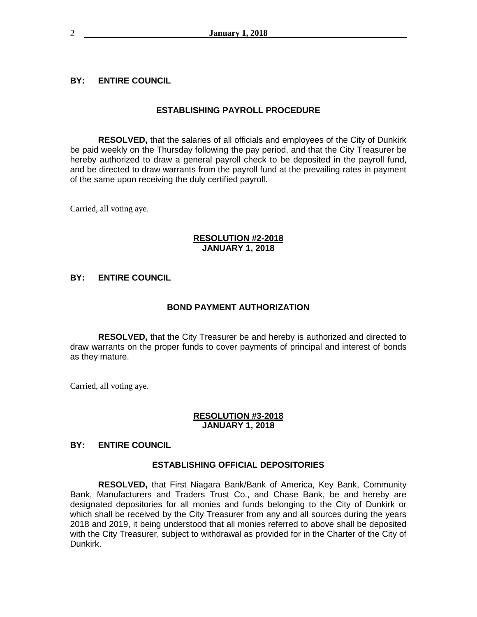## **BY: ENTIRE COUNCIL**

## **ESTABLISHING PAYROLL PROCEDURE**

**RESOLVED,** that the salaries of all officials and employees of the City of Dunkirk be paid weekly on the Thursday following the pay period, and that the City Treasurer be hereby authorized to draw a general payroll check to be deposited in the payroll fund, and be directed to draw warrants from the payroll fund at the prevailing rates in payment of the same upon receiving the duly certified payroll.

Carried, all voting aye.

## **RESOLUTION #2-2018 JANUARY 1, 2018**

## **BY: ENTIRE COUNCIL**

### **BOND PAYMENT AUTHORIZATION**

**RESOLVED,** that the City Treasurer be and hereby is authorized and directed to draw warrants on the proper funds to cover payments of principal and interest of bonds as they mature.

Carried, all voting aye.

### **RESOLUTION #3-2018 JANUARY 1, 2018**

## **BY: ENTIRE COUNCIL**

### **ESTABLISHING OFFICIAL DEPOSITORIES**

**RESOLVED,** that First Niagara Bank/Bank of America, Key Bank, Community Bank, Manufacturers and Traders Trust Co., and Chase Bank, be and hereby are designated depositories for all monies and funds belonging to the City of Dunkirk or which shall be received by the City Treasurer from any and all sources during the years 2018 and 2019, it being understood that all monies referred to above shall be deposited with the City Treasurer, subject to withdrawal as provided for in the Charter of the City of Dunkirk.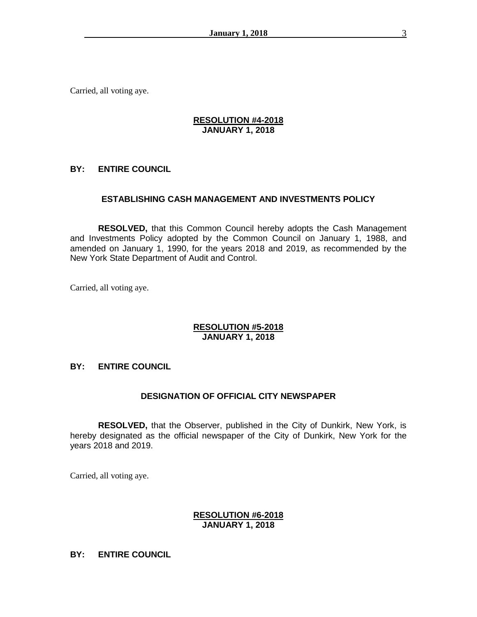Carried, all voting aye.

## **RESOLUTION #4-2018 JANUARY 1, 2018**

## **BY: ENTIRE COUNCIL**

## **ESTABLISHING CASH MANAGEMENT AND INVESTMENTS POLICY**

**RESOLVED,** that this Common Council hereby adopts the Cash Management and Investments Policy adopted by the Common Council on January 1, 1988, and amended on January 1, 1990, for the years 2018 and 2019, as recommended by the New York State Department of Audit and Control.

Carried, all voting aye.

### **RESOLUTION #5-2018 JANUARY 1, 2018**

### **BY: ENTIRE COUNCIL**

### **DESIGNATION OF OFFICIAL CITY NEWSPAPER**

**RESOLVED,** that the Observer, published in the City of Dunkirk, New York, is hereby designated as the official newspaper of the City of Dunkirk, New York for the years 2018 and 2019.

Carried, all voting aye.

#### **RESOLUTION #6-2018 JANUARY 1, 2018**

## **BY: ENTIRE COUNCIL**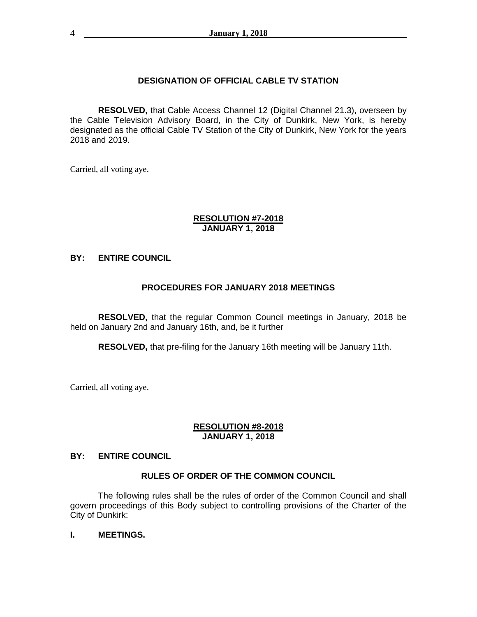## **DESIGNATION OF OFFICIAL CABLE TV STATION**

**RESOLVED,** that Cable Access Channel 12 (Digital Channel 21.3), overseen by the Cable Television Advisory Board, in the City of Dunkirk, New York, is hereby designated as the official Cable TV Station of the City of Dunkirk, New York for the years 2018 and 2019.

Carried, all voting aye.

#### **RESOLUTION #7-2018 JANUARY 1, 2018**

## **BY: ENTIRE COUNCIL**

## **PROCEDURES FOR JANUARY 2018 MEETINGS**

**RESOLVED,** that the regular Common Council meetings in January, 2018 be held on January 2nd and January 16th, and, be it further

**RESOLVED,** that pre-filing for the January 16th meeting will be January 11th.

Carried, all voting aye.

#### **RESOLUTION #8-2018 JANUARY 1, 2018**

## **BY: ENTIRE COUNCIL**

### **RULES OF ORDER OF THE COMMON COUNCIL**

The following rules shall be the rules of order of the Common Council and shall govern proceedings of this Body subject to controlling provisions of the Charter of the City of Dunkirk:

#### **I. MEETINGS.**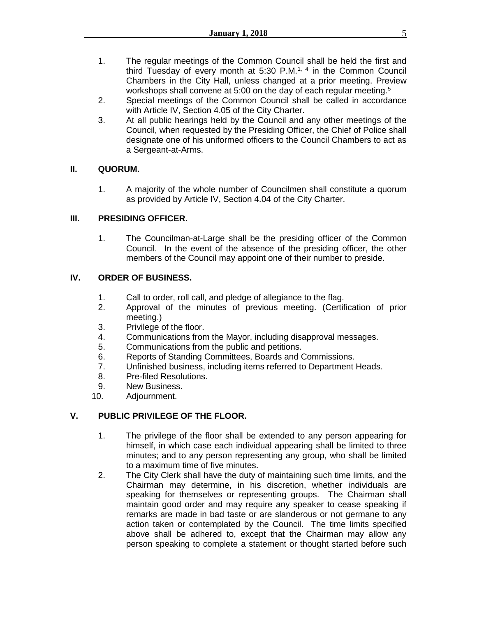- 1. The regular meetings of the Common Council shall be held the first and third Tuesday of every month at 5:30 P.M.<sup>1, 4</sup> in the Common Council Chambers in the City Hall, unless changed at a prior meeting. Preview workshops shall convene at 5:00 on the day of each regular meeting.<sup>5</sup>
- 2. Special meetings of the Common Council shall be called in accordance with Article IV, Section 4.05 of the City Charter.
- 3. At all public hearings held by the Council and any other meetings of the Council, when requested by the Presiding Officer, the Chief of Police shall designate one of his uniformed officers to the Council Chambers to act as a Sergeant-at-Arms.

## **II. QUORUM.**

1. A majority of the whole number of Councilmen shall constitute a quorum as provided by Article IV, Section 4.04 of the City Charter.

## **III. PRESIDING OFFICER.**

1. The Councilman-at-Large shall be the presiding officer of the Common Council. In the event of the absence of the presiding officer, the other members of the Council may appoint one of their number to preside.

## **IV. ORDER OF BUSINESS.**

- 1. Call to order, roll call, and pledge of allegiance to the flag.
- 2. Approval of the minutes of previous meeting. (Certification of prior meeting.)
- 3. Privilege of the floor.
- 4. Communications from the Mayor, including disapproval messages.
- 5. Communications from the public and petitions.
- 6. Reports of Standing Committees, Boards and Commissions.
- 7. Unfinished business, including items referred to Department Heads.
- 8. Pre-filed Resolutions.
- 9. New Business.
- 10. Adjournment.

# **V. PUBLIC PRIVILEGE OF THE FLOOR.**

- 1. The privilege of the floor shall be extended to any person appearing for himself, in which case each individual appearing shall be limited to three minutes; and to any person representing any group, who shall be limited to a maximum time of five minutes.
- 2. The City Clerk shall have the duty of maintaining such time limits, and the Chairman may determine, in his discretion, whether individuals are speaking for themselves or representing groups. The Chairman shall maintain good order and may require any speaker to cease speaking if remarks are made in bad taste or are slanderous or not germane to any action taken or contemplated by the Council. The time limits specified above shall be adhered to, except that the Chairman may allow any person speaking to complete a statement or thought started before such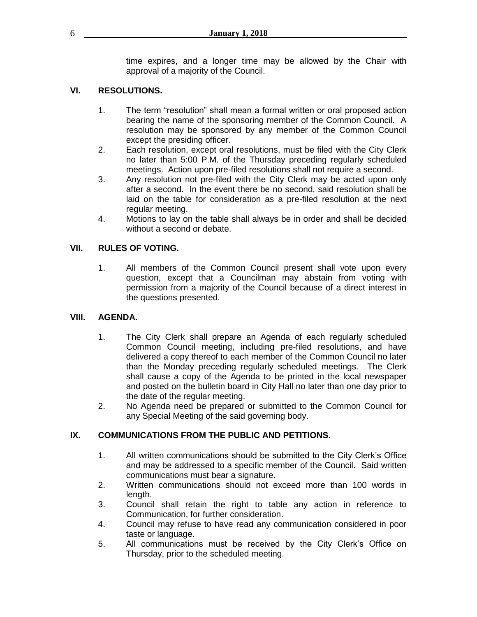time expires, and a longer time may be allowed by the Chair with approval of a majority of the Council.

# **VI. RESOLUTIONS.**

- 1. The term "resolution" shall mean a formal written or oral proposed action bearing the name of the sponsoring member of the Common Council. A resolution may be sponsored by any member of the Common Council except the presiding officer.
- 2. Each resolution, except oral resolutions, must be filed with the City Clerk no later than 5:00 P.M. of the Thursday preceding regularly scheduled meetings. Action upon pre-filed resolutions shall not require a second.
- 3. Any resolution not pre-filed with the City Clerk may be acted upon only after a second. In the event there be no second, said resolution shall be laid on the table for consideration as a pre-filed resolution at the next regular meeting.
- 4. Motions to lay on the table shall always be in order and shall be decided without a second or debate.

## **VII. RULES OF VOTING.**

1. All members of the Common Council present shall vote upon every question, except that a Councilman may abstain from voting with permission from a majority of the Council because of a direct interest in the questions presented.

## **VIII. AGENDA.**

- 1. The City Clerk shall prepare an Agenda of each regularly scheduled Common Council meeting, including pre-filed resolutions, and have delivered a copy thereof to each member of the Common Council no later than the Monday preceding regularly scheduled meetings. The Clerk shall cause a copy of the Agenda to be printed in the local newspaper and posted on the bulletin board in City Hall no later than one day prior to the date of the regular meeting.
- 2. No Agenda need be prepared or submitted to the Common Council for any Special Meeting of the said governing body.

## **IX. COMMUNICATIONS FROM THE PUBLIC AND PETITIONS.**

- 1. All written communications should be submitted to the City Clerk's Office and may be addressed to a specific member of the Council. Said written communications must bear a signature.
- 2. Written communications should not exceed more than 100 words in length.
- 3. Council shall retain the right to table any action in reference to Communication, for further consideration.
- 4. Council may refuse to have read any communication considered in poor taste or language.
- 5. All communications must be received by the City Clerk's Office on Thursday, prior to the scheduled meeting.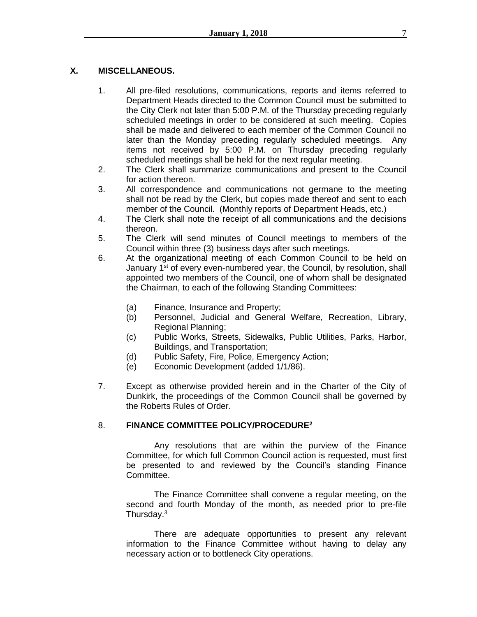# **X. MISCELLANEOUS.**

- 1. All pre-filed resolutions, communications, reports and items referred to Department Heads directed to the Common Council must be submitted to the City Clerk not later than 5:00 P.M. of the Thursday preceding regularly scheduled meetings in order to be considered at such meeting. Copies shall be made and delivered to each member of the Common Council no later than the Monday preceding regularly scheduled meetings. Any items not received by 5:00 P.M. on Thursday preceding regularly scheduled meetings shall be held for the next regular meeting.
- 2. The Clerk shall summarize communications and present to the Council for action thereon.
- 3. All correspondence and communications not germane to the meeting shall not be read by the Clerk, but copies made thereof and sent to each member of the Council. (Monthly reports of Department Heads, etc.)
- 4. The Clerk shall note the receipt of all communications and the decisions thereon.
- 5. The Clerk will send minutes of Council meetings to members of the Council within three (3) business days after such meetings.
- 6. At the organizational meeting of each Common Council to be held on January 1<sup>st</sup> of every even-numbered year, the Council, by resolution, shall appointed two members of the Council, one of whom shall be designated the Chairman, to each of the following Standing Committees:
	- (a) Finance, Insurance and Property;
	- (b) Personnel, Judicial and General Welfare, Recreation, Library, Regional Planning;
	- (c) Public Works, Streets, Sidewalks, Public Utilities, Parks, Harbor, Buildings, and Transportation;
	- (d) Public Safety, Fire, Police, Emergency Action;
	- (e) Economic Development (added 1/1/86).
- 7. Except as otherwise provided herein and in the Charter of the City of Dunkirk, the proceedings of the Common Council shall be governed by the Roberts Rules of Order.

# 8. **FINANCE COMMITTEE POLICY/PROCEDURE<sup>2</sup>**

Any resolutions that are within the purview of the Finance Committee, for which full Common Council action is requested, must first be presented to and reviewed by the Council's standing Finance Committee.

The Finance Committee shall convene a regular meeting, on the second and fourth Monday of the month, as needed prior to pre-file Thursday.<sup>3</sup>

There are adequate opportunities to present any relevant information to the Finance Committee without having to delay any necessary action or to bottleneck City operations.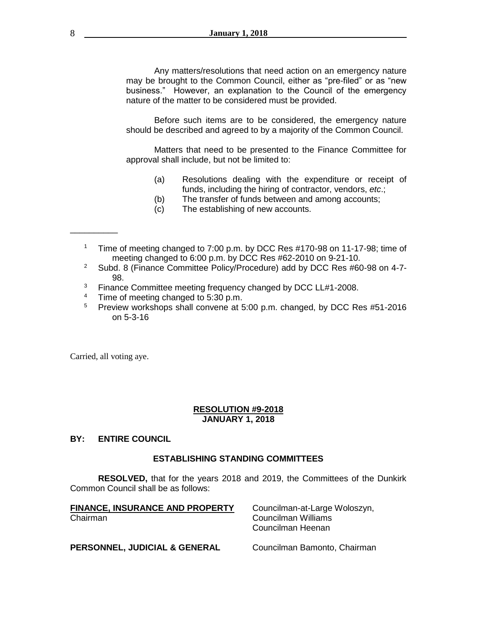Any matters/resolutions that need action on an emergency nature may be brought to the Common Council, either as "pre-filed" or as "new business." However, an explanation to the Council of the emergency nature of the matter to be considered must be provided.

Before such items are to be considered, the emergency nature should be described and agreed to by a majority of the Common Council.

Matters that need to be presented to the Finance Committee for approval shall include, but not be limited to:

- (a) Resolutions dealing with the expenditure or receipt of funds, including the hiring of contractor, vendors, *etc*.;
- (b) The transfer of funds between and among accounts;
- (c) The establishing of new accounts.
- <sup>1</sup> Time of meeting changed to 7:00 p.m. by DCC Res #170-98 on 11-17-98; time of meeting changed to 6:00 p.m. by DCC Res #62-2010 on 9-21-10.
- <sup>2</sup> Subd. 8 (Finance Committee Policy/Procedure) add by DCC Res #60-98 on 4-7-98.
- <sup>3</sup> Finance Committee meeting frequency changed by DCC LL#1-2008.<br><sup>4</sup> Time of meeting changed to 5:30 n m
- <sup>4</sup> Time of meeting changed to 5:30 p.m.<br><sup>5</sup> Proview workshops shall convene at 5
- <sup>5</sup> Preview workshops shall convene at 5:00 p.m. changed, by DCC Res #51-2016 on 5-3-16

Carried, all voting aye.

\_\_\_\_\_\_\_\_\_\_

### **RESOLUTION #9-2018 JANUARY 1, 2018**

### **BY: ENTIRE COUNCIL**

### **ESTABLISHING STANDING COMMITTEES**

**RESOLVED,** that for the years 2018 and 2019, the Committees of the Dunkirk Common Council shall be as follows:

| <b>FINANCE, INSURANCE AND PROPERTY</b> | Councilman-at-Large Woloszyn,            |
|----------------------------------------|------------------------------------------|
| Chairman                               | Councilman Williams<br>Councilman Heenan |
| PERSONNEL, JUDICIAL & GENERAL          | Councilman Bamonto, Chairman             |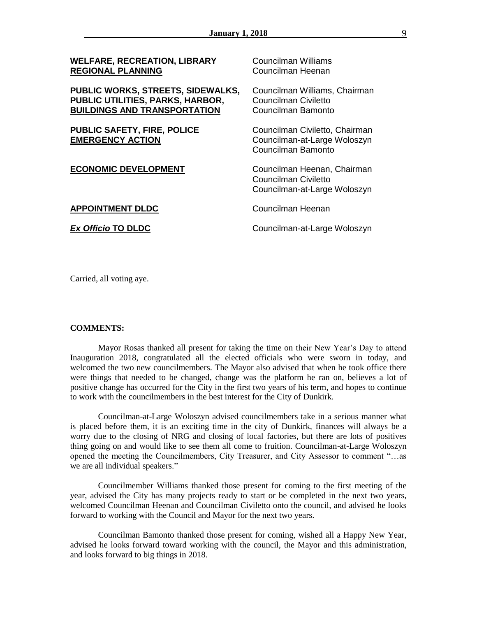| <b>WELFARE, RECREATION, LIBRARY</b><br><b>REGIONAL PLANNING</b>                                              | <b>Councilman Williams</b><br>Councilman Heenan                                      |
|--------------------------------------------------------------------------------------------------------------|--------------------------------------------------------------------------------------|
| PUBLIC WORKS, STREETS, SIDEWALKS,<br>PUBLIC UTILITIES, PARKS, HARBOR,<br><b>BUILDINGS AND TRANSPORTATION</b> | Councilman Williams, Chairman<br>Councilman Civiletto<br>Councilman Bamonto          |
| <b>PUBLIC SAFETY, FIRE, POLICE</b><br><b>EMERGENCY ACTION</b>                                                | Councilman Civiletto, Chairman<br>Councilman-at-Large Woloszyn<br>Councilman Bamonto |
| <b>ECONOMIC DEVELOPMENT</b>                                                                                  | Councilman Heenan, Chairman<br>Councilman Civiletto<br>Councilman-at-Large Woloszyn  |
| <b>APPOINTMENT DLDC</b>                                                                                      | Councilman Heenan                                                                    |
| <b>Ex Officio TO DLDC</b>                                                                                    | Councilman-at-Large Woloszyn                                                         |

Carried, all voting aye.

#### **COMMENTS:**

Mayor Rosas thanked all present for taking the time on their New Year's Day to attend Inauguration 2018, congratulated all the elected officials who were sworn in today, and welcomed the two new councilmembers. The Mayor also advised that when he took office there were things that needed to be changed, change was the platform he ran on, believes a lot of positive change has occurred for the City in the first two years of his term, and hopes to continue to work with the councilmembers in the best interest for the City of Dunkirk.

Councilman-at-Large Woloszyn advised councilmembers take in a serious manner what is placed before them, it is an exciting time in the city of Dunkirk, finances will always be a worry due to the closing of NRG and closing of local factories, but there are lots of positives thing going on and would like to see them all come to fruition. Councilman-at-Large Woloszyn opened the meeting the Councilmembers, City Treasurer, and City Assessor to comment "…as we are all individual speakers."

Councilmember Williams thanked those present for coming to the first meeting of the year, advised the City has many projects ready to start or be completed in the next two years, welcomed Councilman Heenan and Councilman Civiletto onto the council, and advised he looks forward to working with the Council and Mayor for the next two years.

Councilman Bamonto thanked those present for coming, wished all a Happy New Year, advised he looks forward toward working with the council, the Mayor and this administration, and looks forward to big things in 2018.